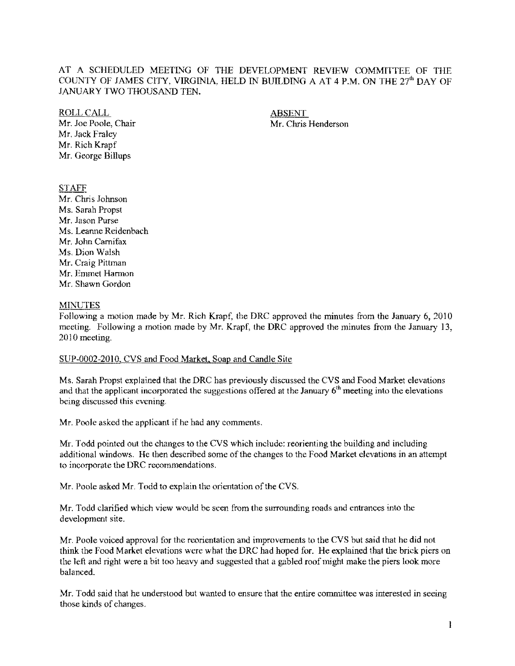### AT A SCHEDULED MEETNG OF THE DEVELOPMENT REVIEW COMMITTEE OF THE COUNTY OF JAMES CITY, VIRGINIA, HELD IN BUILDING A AT 4 P.M. ON THE 27'h DAY OF JANUARY TWO THOUSAND TEN.

ROLL CALL ABSENT Mr. Jack Fraley

Mr. Rich Krapf Mr. George Billups

Mr. Joe Poole, Chair Mr. Chris Henderson

# STAFF

Mr. Chris Johnson Ms. Sarah Propst Mr. Jason Purse Ms. Leanne Reidenbach Mr. John Carnifax Ms. Dion Walsh Mr. Craig Pittman Mr. Emmet Harmon Mr. Shawn Gordon

## MINUTES

Following a motion made by Mr. Rich Krapf, the DRC approved the minutes from the January 6, 2010 meeting. Following a motion made by Mr. Krapf, the DRC approved the minutes from the January 13, 2010 meeting.

### SUP-0002-2010, CVS and Food Market, Soap and Candle Site

Ms. Sarah Propst explained that the DRC has previously discussed the CVS and Food Market elevations and that the applicant incorporated the suggestions offered at the January  $6<sup>th</sup>$  meeting into the elevations being discussed this evening.

Mr. Poole asked the applicant if he had any comments.

Mr. Todd pointed out the changes to the CVS which include: reorienting the building and including additional windows. He then described some of the changes to the Food Market elevations in an attempt to incorporate the DRC recommendations.

Mr. Poole asked Mr. Todd to explain the orientation of the CVS.

Mr. Todd clarified which view would be seen from the surrounding roads and entrances into the development site.

Mr. Poole voiced approval for the reorientation and improvements to the CVS but said that he did not think the Food Market elevations were what the DRC had hoped for. He explained that the brick piers on the lett and right were a bit too heavy and suggested that a gabled roof might make the piers look more balanced.

Mr. Todd said that he understood but wanted to ensure that the entire committee was interested in seeing those kinds of changes.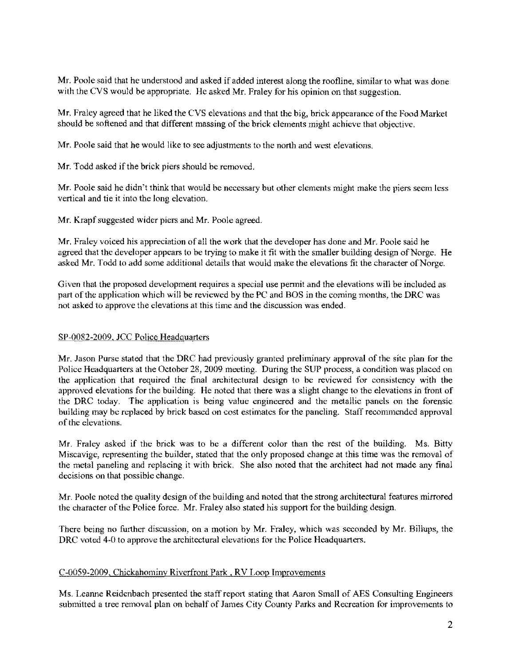Mr. Poole said that he understood and asked if added interest along the roofline, similar to what was done with the CVS would be appropriate. He asked Mr. Fraley for his opinion on that suggestion.

Mr. Fraley agreed that he liked the CVS elevations and that the big, brick appearance of the Food Market should be softened and that different massing of the brick elements might achieve that objective.

Mr. Poole said that he would like to see adjustments to the north and west elevations.

Mr. Todd asked if the brick piers should be removed.

Mr. Poole said he didn't think that would be necessary but other elements might make the piers seem less vertical and tie it into the long elevation.

Mr. Krapf suggested wider piers and Mr. Poole agreed.

Mr. Fraley voiced his appreciation of all the work that the developer has done and Mr. Poole said he agreed that the developer appears to be trying to make it fit with the smaller building design of Norge. He asked Mr. Todd to add some additional details that would make the elevations fit the character of Norge.

Given that the proposed development requires a special use pennit and the elevations will be included as part of the application which will be reviewed by the PC and BOS in the coming months, the DRC was not asked to approve the elevations at this time and the discussion was ended.

#### SP-0082-2009. JCC Police Headquarters

Mr. Jason Purse stated that the DRC had previously granted preliminary approval of the site plan for the Police Headquarters at the October 28, 2009 meeting. During the SUP process, a condition was placed on the application that required the final architectural design to be reviewed for consistency with the approved elevations for the building. He noted that there was a slight change to the elevations in front of the DRC today. The application is being value engineered and the metallic panels on the forensic building may be replaced by brick based on cost estimates for the paneling. Staff recommended approval of the elevations.

Mr. Fraley asked if the brick was to be a different color than the rest of the building. Ms. Bitty Miscavige, representing the builder, stated that the only proposed change at this time was the removal of the metal paneling and replacing it with brick. She also noted that the architeet had not made any final decisions on that possible change.

Mr. Poole noted the quality design of the building and noted that the strong architectural features mirrored the character ofthe Police force. Mr. Fraley also stated his support for the building design.

There being no further discussion, on a motion by Mr. Fraley, which was seconded by Mr. Billups, the DRC voted 4-0 to approve the architectural elevations for the Police Headquarters.

### C-0059-2009. Chickahominv Riverfront Park. RV Loop Improvements

Ms. Leanne Reidenbach presented the staff report stating that Aaron Small of AES Consulting Engineers submitted a tree removal plan on behalf of James City County Parks and Recreation for improvements to